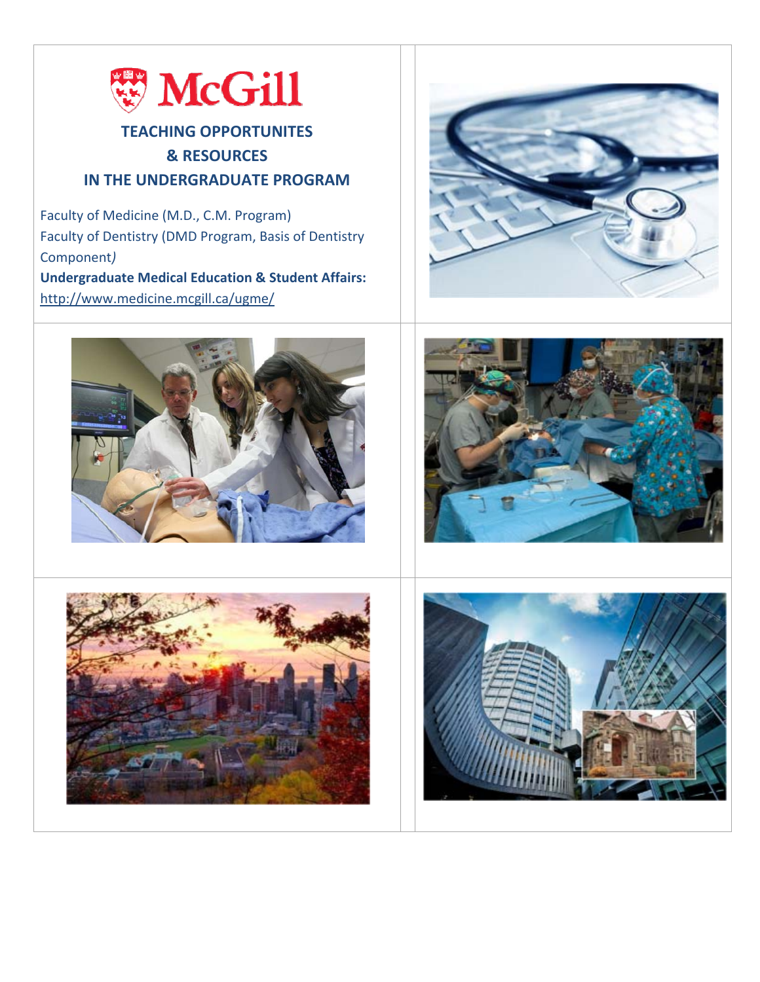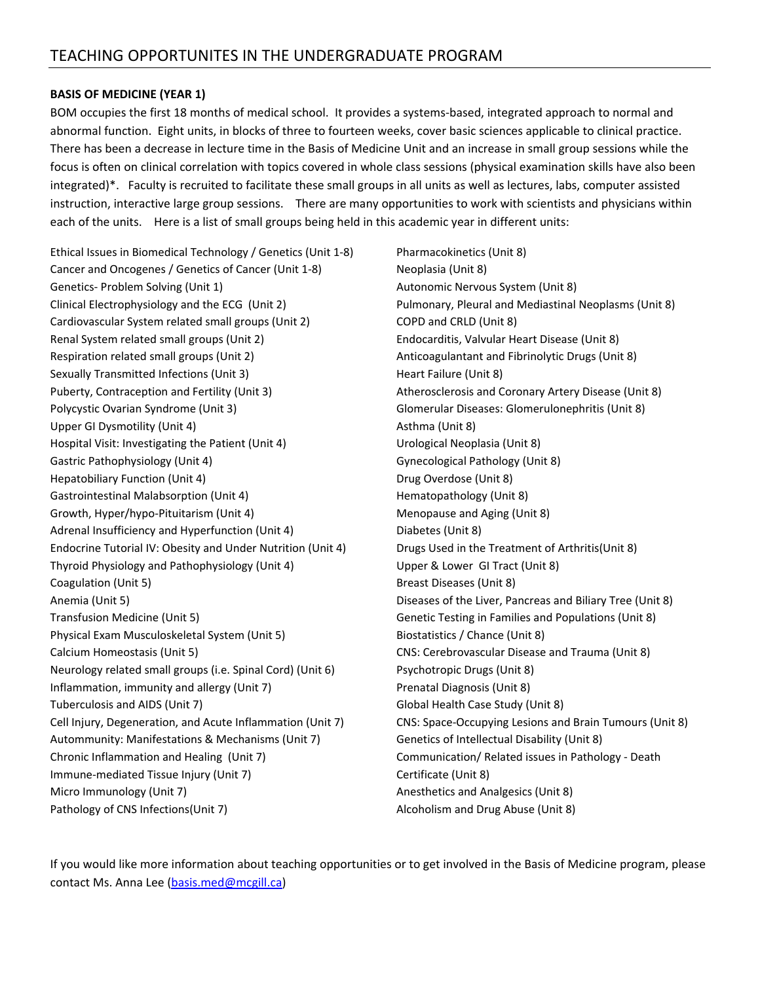#### **BASIS OF MEDICINE (YEAR 1)**

BOM occupies the first 18 months of medical school. It provides a systems‐based, integrated approach to normal and abnormal function. Eight units, in blocks of three to fourteen weeks, cover basic sciences applicable to clinical practice. There has been a decrease in lecture time in the Basis of Medicine Unit and an increase in small group sessions while the focus is often on clinical correlation with topics covered in whole class sessions (physical examination skills have also been integrated)\*. Faculty is recruited to facilitate these small groups in all units as well as lectures, labs, computer assisted instruction, interactive large group sessions. There are many opportunities to work with scientists and physicians within each of the units. Here is a list of small groups being held in this academic year in different units:

Ethical Issues in Biomedical Technology / Genetics (Unit 1‐8) Cancer and Oncogenes / Genetics of Cancer (Unit 1‐8) Genetics‐ Problem Solving (Unit 1) Clinical Electrophysiology and the ECG (Unit 2) Cardiovascular System related small groups (Unit 2) Renal System related small groups (Unit 2) Respiration related small groups (Unit 2) Sexually Transmitted Infections (Unit 3) Puberty, Contraception and Fertility (Unit 3) Polycystic Ovarian Syndrome (Unit 3) Upper GI Dysmotility (Unit 4) Hospital Visit: Investigating the Patient (Unit 4) Gastric Pathophysiology (Unit 4) Hepatobiliary Function (Unit 4) Gastrointestinal Malabsorption (Unit 4) Growth, Hyper/hypo‐Pituitarism (Unit 4) Adrenal Insufficiency and Hyperfunction (Unit 4) Endocrine Tutorial IV: Obesity and Under Nutrition (Unit 4) Thyroid Physiology and Pathophysiology (Unit 4) Coagulation (Unit 5) Anemia (Unit 5) Transfusion Medicine (Unit 5) Physical Exam Musculoskeletal System (Unit 5) Calcium Homeostasis (Unit 5) Neurology related small groups (i.e. Spinal Cord) (Unit 6) Inflammation, immunity and allergy (Unit 7) Tuberculosis and AIDS (Unit 7) Cell Injury, Degeneration, and Acute Inflammation (Unit 7) Autommunity: Manifestations & Mechanisms (Unit 7) Chronic Inflammation and Healing (Unit 7) Immune‐mediated Tissue Injury (Unit 7) Micro Immunology (Unit 7) Pathology of CNS Infections(Unit 7)

Pharmacokinetics (Unit 8) Neoplasia (Unit 8) Autonomic Nervous System (Unit 8) Pulmonary, Pleural and Mediastinal Neoplasms (Unit 8) COPD and CRLD (Unit 8) Endocarditis, Valvular Heart Disease (Unit 8) Anticoagulantant and Fibrinolytic Drugs (Unit 8) Heart Failure (Unit 8) Atherosclerosis and Coronary Artery Disease (Unit 8) Glomerular Diseases: Glomerulonephritis (Unit 8) Asthma (Unit 8) Urological Neoplasia (Unit 8) Gynecological Pathology (Unit 8) Drug Overdose (Unit 8) Hematopathology (Unit 8) Menopause and Aging (Unit 8) Diabetes (Unit 8) Drugs Used in the Treatment of Arthritis(Unit 8) Upper & Lower GI Tract (Unit 8) Breast Diseases (Unit 8) Diseases of the Liver, Pancreas and Biliary Tree (Unit 8) Genetic Testing in Families and Populations (Unit 8) Biostatistics / Chance (Unit 8) CNS: Cerebrovascular Disease and Trauma (Unit 8) Psychotropic Drugs (Unit 8) Prenatal Diagnosis (Unit 8) Global Health Case Study (Unit 8) CNS: Space‐Occupying Lesions and Brain Tumours (Unit 8) Genetics of Intellectual Disability (Unit 8) Communication/ Related issues in Pathology ‐ Death Certificate (Unit 8) Anesthetics and Analgesics (Unit 8) Alcoholism and Drug Abuse (Unit 8)

If you would like more information about teaching opportunities or to get involved in the Basis of Medicine program, please contact Ms. Anna Lee (basis.med@mcgill.ca)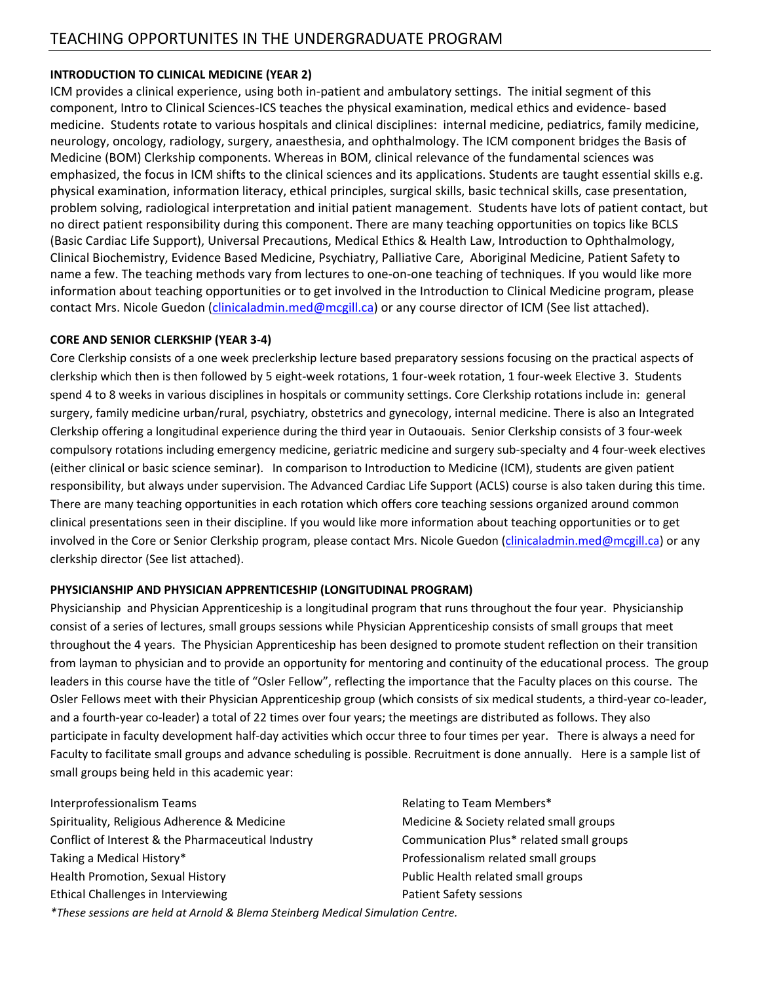### **INTRODUCTION TO CLINICAL MEDICINE (YEAR 2)**

ICM provides a clinical experience, using both in‐patient and ambulatory settings. The initial segment of this component, Intro to Clinical Sciences‐ICS teaches the physical examination, medical ethics and evidence‐ based medicine. Students rotate to various hospitals and clinical disciplines: internal medicine, pediatrics, family medicine, neurology, oncology, radiology, surgery, anaesthesia, and ophthalmology. The ICM component bridges the Basis of Medicine (BOM) Clerkship components. Whereas in BOM, clinical relevance of the fundamental sciences was emphasized, the focus in ICM shifts to the clinical sciences and its applications. Students are taught essential skills e.g. physical examination, information literacy, ethical principles, surgical skills, basic technical skills, case presentation, problem solving, radiological interpretation and initial patient management. Students have lots of patient contact, but no direct patient responsibility during this component. There are many teaching opportunities on topics like BCLS (Basic Cardiac Life Support), Universal Precautions, Medical Ethics & Health Law, Introduction to Ophthalmology, Clinical Biochemistry, Evidence Based Medicine, Psychiatry, Palliative Care, Aboriginal Medicine, Patient Safety to name a few. The teaching methods vary from lectures to one‐on‐one teaching of techniques. If you would like more information about teaching opportunities or to get involved in the Introduction to Clinical Medicine program, please contact Mrs. Nicole Guedon (clinicaladmin.med@mcgill.ca) or any course director of ICM (See list attached).

#### **CORE AND SENIOR CLERKSHIP (YEAR 3‐4)**

Core Clerkship consists of a one week preclerkship lecture based preparatory sessions focusing on the practical aspects of clerkship which then is then followed by 5 eight‐week rotations, 1 four‐week rotation, 1 four‐week Elective 3. Students spend 4 to 8 weeks in various disciplines in hospitals or community settings. Core Clerkship rotations include in: general surgery, family medicine urban/rural, psychiatry, obstetrics and gynecology, internal medicine. There is also an Integrated Clerkship offering a longitudinal experience during the third year in Outaouais. Senior Clerkship consists of 3 four‐week compulsory rotations including emergency medicine, geriatric medicine and surgery sub‐specialty and 4 four‐week electives (either clinical or basic science seminar). In comparison to Introduction to Medicine (ICM), students are given patient responsibility, but always under supervision. The Advanced Cardiac Life Support (ACLS) course is also taken during this time. There are many teaching opportunities in each rotation which offers core teaching sessions organized around common clinical presentations seen in their discipline. If you would like more information about teaching opportunities or to get involved in the Core or Senior Clerkship program, please contact Mrs. Nicole Guedon (clinicaladmin.med@mcgill.ca) or any clerkship director (See list attached).

#### **PHYSICIANSHIP AND PHYSICIAN APPRENTICESHIP (LONGITUDINAL PROGRAM)**

Physicianship and Physician Apprenticeship is a longitudinal program that runs throughout the four year. Physicianship consist of a series of lectures, small groups sessions while Physician Apprenticeship consists of small groups that meet throughout the 4 years. The Physician Apprenticeship has been designed to promote student reflection on their transition from layman to physician and to provide an opportunity for mentoring and continuity of the educational process. The group leaders in this course have the title of "Osler Fellow", reflecting the importance that the Faculty places on this course. The Osler Fellows meet with their Physician Apprenticeship group (which consists of six medical students, a third-year co-leader, and a fourth-year co-leader) a total of 22 times over four years; the meetings are distributed as follows. They also participate in faculty development half-day activities which occur three to four times per year. There is always a need for Faculty to facilitate small groups and advance scheduling is possible. Recruitment is done annually. Here is a sample list of small groups being held in this academic year:

groups

| Interprofessionalism Teams                                                      | Relating to Team Members*               |
|---------------------------------------------------------------------------------|-----------------------------------------|
| Spirituality, Religious Adherence & Medicine                                    | Medicine & Society related small groups |
| Conflict of Interest & the Pharmaceutical Industry                              | Communication Plus* related small grou  |
| Taking a Medical History*                                                       | Professionalism related small groups    |
| Health Promotion, Sexual History                                                | Public Health related small groups      |
| Ethical Challenges in Interviewing                                              | <b>Patient Safety sessions</b>          |
| *These sessions are held at Arnold & Blema Steinberg Medical Simulation Centre. |                                         |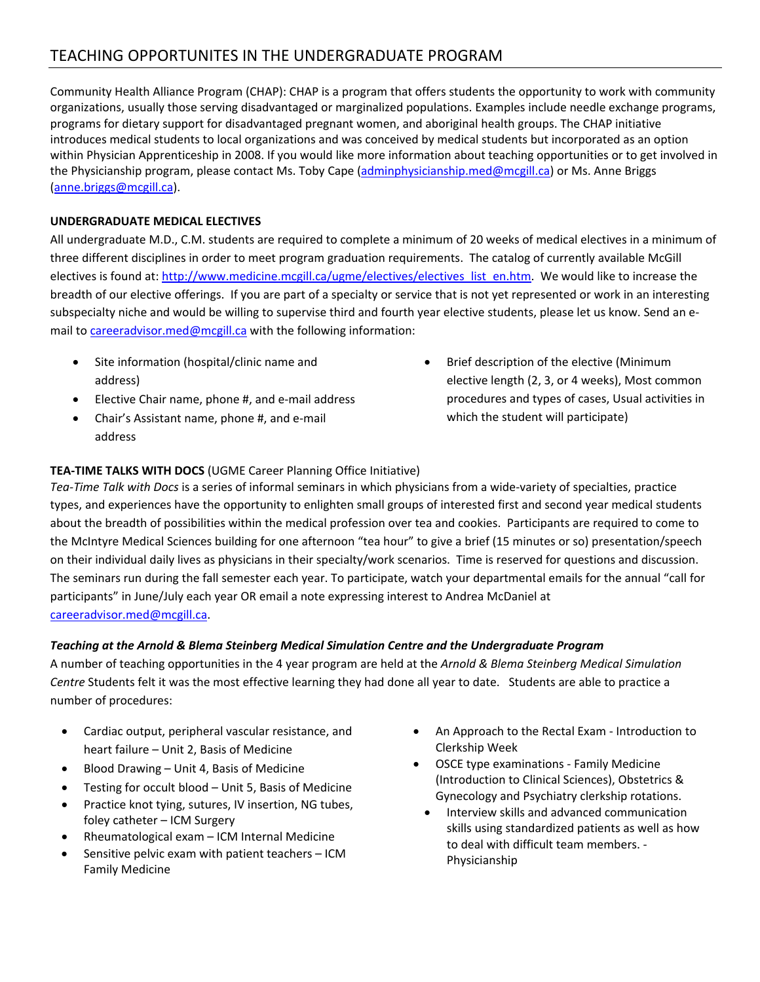Community Health Alliance Program (CHAP): CHAP is a program that offers students the opportunity to work with community organizations, usually those serving disadvantaged or marginalized populations. Examples include needle exchange programs, programs for dietary support for disadvantaged pregnant women, and aboriginal health groups. The CHAP initiative introduces medical students to local organizations and was conceived by medical students but incorporated as an option within Physician Apprenticeship in 2008. If you would like more information about teaching opportunities or to get involved in the Physicianship program, please contact Ms. Toby Cape (adminphysicianship.med@mcgill.ca) or Ms. Anne Briggs (anne.briggs@mcgill.ca).

## **UNDERGRADUATE MEDICAL ELECTIVES**

All undergraduate M.D., C.M. students are required to complete a minimum of 20 weeks of medical electives in a minimum of three different disciplines in order to meet program graduation requirements. The catalog of currently available McGill electives is found at: http://www.medicine.mcgill.ca/ugme/electives/electives\_list\_en.htm. We would like to increase the breadth of our elective offerings. If you are part of a specialty or service that is not yet represented or work in an interesting subspecialty niche and would be willing to supervise third and fourth year elective students, please let us know. Send an e‐ mail to careeradvisor.med@mcgill.ca with the following information:

- Site information (hospital/clinic name and address)
- Elective Chair name, phone #, and e‐mail address
- Chair's Assistant name, phone #, and e-mail address
- **TEA‐TIME TALKS WITH DOCS** (UGME Career Planning Office Initiative)

*Tea‐Time Talk with Docs* is a series of informal seminars in which physicians from a wide‐variety of specialties, practice types, and experiences have the opportunity to enlighten small groups of interested first and second year medical students about the breadth of possibilities within the medical profession over tea and cookies. Participants are required to come to the McIntyre Medical Sciences building for one afternoon "tea hour" to give a brief (15 minutes or so) presentation/speech on their individual daily lives as physicians in their specialty/work scenarios. Time is reserved for questions and discussion. The seminars run during the fall semester each year. To participate, watch your departmental emails for the annual "call for participants" in June/July each year OR email a note expressing interest to Andrea McDaniel at

careeradvisor.med@mcgill.ca.

# *Teaching at the Arnold & Blema Steinberg Medical Simulation Centre and the Undergraduate Program*

A number of teaching opportunities in the 4 year program are held at the *Arnold & Blema Steinberg Medical Simulation Centre* Students felt it was the most effective learning they had done all year to date. Students are able to practice a number of procedures:

- Cardiac output, peripheral vascular resistance, and heart failure – Unit 2, Basis of Medicine
- Blood Drawing Unit 4, Basis of Medicine
- Testing for occult blood Unit 5, Basis of Medicine
- Practice knot tying, sutures, IV insertion, NG tubes, foley catheter – ICM Surgery
- Rheumatological exam ICM Internal Medicine
- Sensitive pelvic exam with patient teachers ICM Family Medicine
- An Approach to the Rectal Exam ‐ Introduction to Clerkship Week
- OSCE type examinations ‐ Family Medicine (Introduction to Clinical Sciences), Obstetrics & Gynecology and Psychiatry clerkship rotations.
	- Interview skills and advanced communication skills using standardized patients as well as how to deal with difficult team members. ‐ Physicianship

• Brief description of the elective (Minimum elective length (2, 3, or 4 weeks), Most common procedures and types of cases, Usual activities in which the student will participate)